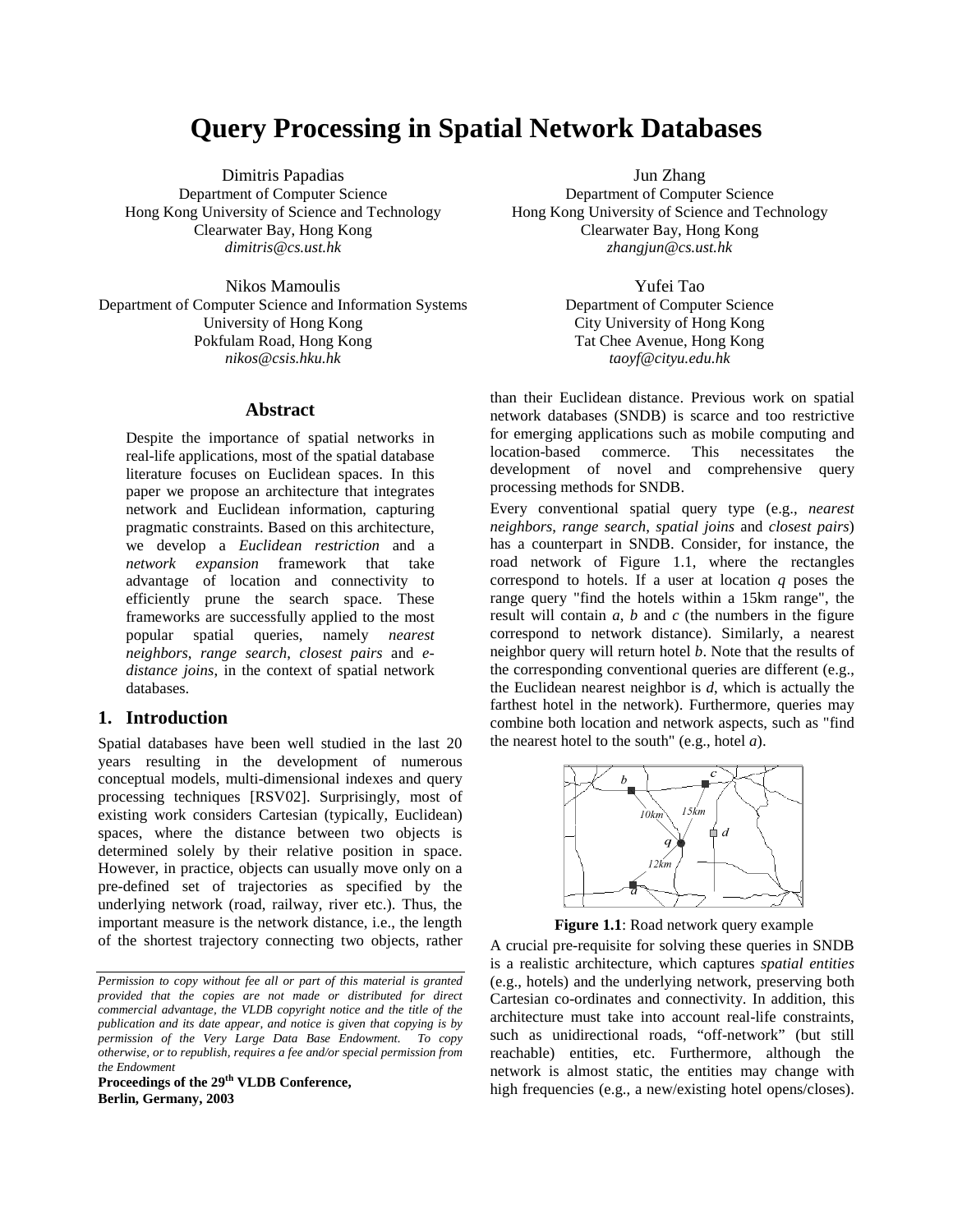# **Query Processing in Spatial Network Databases**

Dimitris Papadias Department of Computer Science Hong Kong University of Science and Technology Clearwater Bay, Hong Kong *dimitris@cs.ust.hk* 

Nikos Mamoulis Department of Computer Science and Information Systems University of Hong Kong Pokfulam Road, Hong Kong *nikos@csis.hku.hk*

## **Abstract**

Despite the importance of spatial networks in real-life applications, most of the spatial database literature focuses on Euclidean spaces. In this paper we propose an architecture that integrates network and Euclidean information, capturing pragmatic constraints. Based on this architecture, we develop a *Euclidean restriction* and a *network expansion* framework that take advantage of location and connectivity to efficiently prune the search space. These frameworks are successfully applied to the most popular spatial queries, namely *nearest neighbors*, *range search*, *closest pairs* and *edistance joins*, in the context of spatial network databases.

# **1. Introduction**

Spatial databases have been well studied in the last 20 years resulting in the development of numerous conceptual models, multi-dimensional indexes and query processing techniques [RSV02]. Surprisingly, most of existing work considers Cartesian (typically, Euclidean) spaces, where the distance between two objects is determined solely by their relative position in space. However, in practice, objects can usually move only on a pre-defined set of trajectories as specified by the underlying network (road, railway, river etc.). Thus, the important measure is the network distance, i.e., the length of the shortest trajectory connecting two objects, rather

**Proceedings of the 29th VLDB Conference, Berlin, Germany, 2003** 

Jun Zhang Department of Computer Science Hong Kong University of Science and Technology Clearwater Bay, Hong Kong *zhangjun@cs.ust.hk*

> Yufei Tao Department of Computer Science City University of Hong Kong Tat Chee Avenue, Hong Kong *taoyf@cityu.edu.hk*

than their Euclidean distance. Previous work on spatial network databases (SNDB) is scarce and too restrictive for emerging applications such as mobile computing and location-based commerce. This necessitates the development of novel and comprehensive query processing methods for SNDB.

Every conventional spatial query type (e.g., *nearest neighbors*, *range search*, *spatial joins* and *closest pairs*) has a counterpart in SNDB. Consider, for instance, the road network of Figure 1.1, where the rectangles correspond to hotels. If a user at location *q* poses the range query "find the hotels within a 15km range", the result will contain *a*, *b* and *c* (the numbers in the figure correspond to network distance). Similarly, a nearest neighbor query will return hotel *b*. Note that the results of the corresponding conventional queries are different (e.g., the Euclidean nearest neighbor is *d*, which is actually the farthest hotel in the network). Furthermore, queries may combine both location and network aspects, such as "find the nearest hotel to the south" (e.g., hotel *a*).



 **Figure 1.1**: Road network query example

A crucial pre-requisite for solving these queries in SNDB is a realistic architecture, which captures *spatial entities* (e.g., hotels) and the underlying network, preserving both Cartesian co-ordinates and connectivity. In addition, this architecture must take into account real-life constraints, such as unidirectional roads, "off-network" (but still reachable) entities, etc. Furthermore, although the network is almost static, the entities may change with high frequencies (e.g., a new/existing hotel opens/closes).

*Permission to copy without fee all or part of this material is granted provided that the copies are not made or distributed for direct commercial advantage, the VLDB copyright notice and the title of the publication and its date appear, and notice is given that copying is by permission of the Very Large Data Base Endowment. To copy otherwise, or to republish, requires a fee and/or special permission from the Endowment*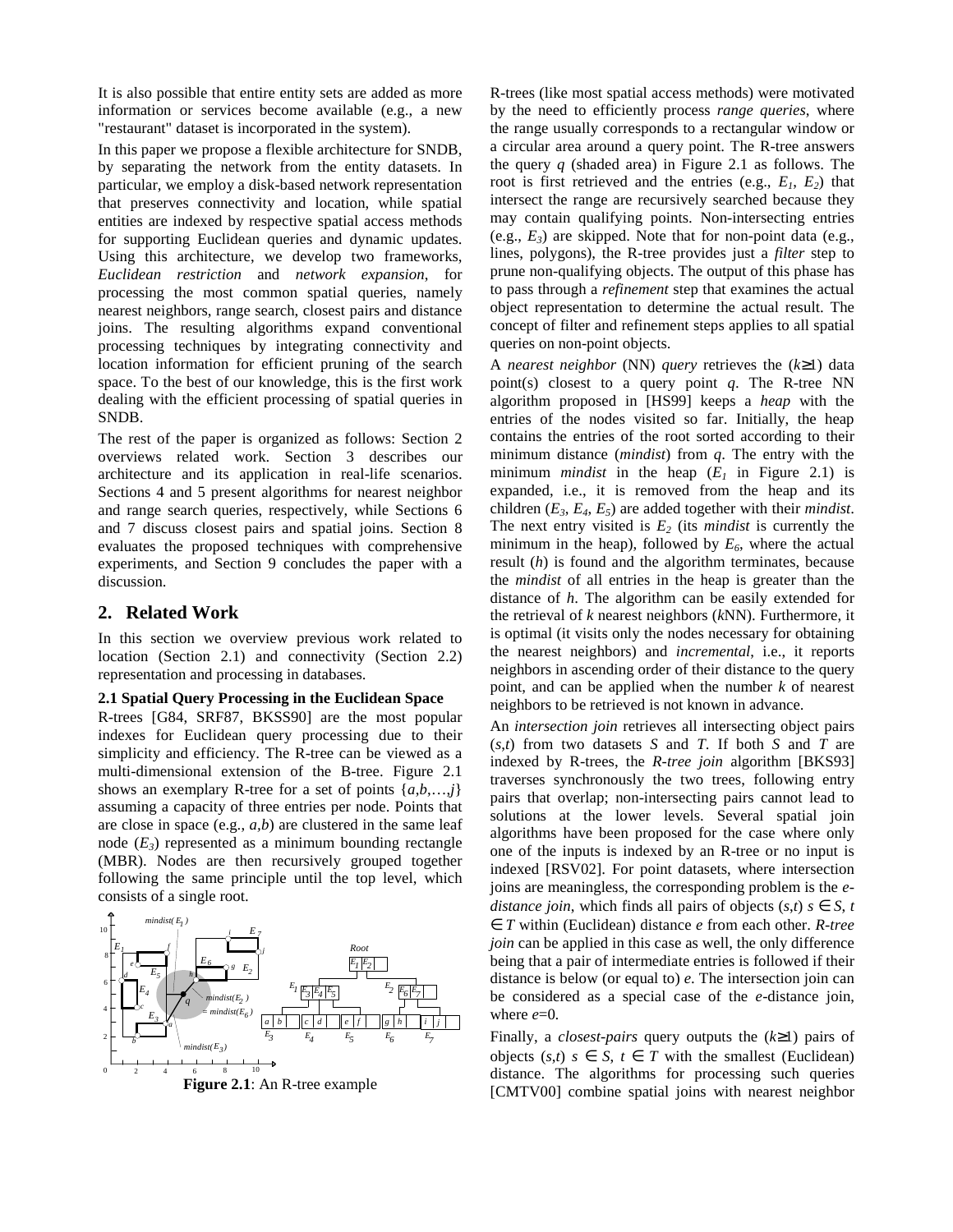It is also possible that entire entity sets are added as more information or services become available (e.g., a new "restaurant" dataset is incorporated in the system).

In this paper we propose a flexible architecture for SNDB, by separating the network from the entity datasets. In particular, we employ a disk-based network representation that preserves connectivity and location, while spatial entities are indexed by respective spatial access methods for supporting Euclidean queries and dynamic updates. Using this architecture, we develop two frameworks, *Euclidean restriction* and *network expansion*, for processing the most common spatial queries, namely nearest neighbors, range search, closest pairs and distance joins. The resulting algorithms expand conventional processing techniques by integrating connectivity and location information for efficient pruning of the search space. To the best of our knowledge, this is the first work dealing with the efficient processing of spatial queries in SNDB.

The rest of the paper is organized as follows: Section 2 overviews related work. Section 3 describes our architecture and its application in real-life scenarios. Sections 4 and 5 present algorithms for nearest neighbor and range search queries, respectively, while Sections 6 and 7 discuss closest pairs and spatial joins. Section 8 evaluates the proposed techniques with comprehensive experiments, and Section 9 concludes the paper with a discussion.

# **2. Related Work**

In this section we overview previous work related to location (Section 2.1) and connectivity (Section 2.2) representation and processing in databases.

## **2.1 Spatial Query Processing in the Euclidean Space**

R-trees [G84, SRF87, BKSS90] are the most popular indexes for Euclidean query processing due to their simplicity and efficiency. The R-tree can be viewed as a multi-dimensional extension of the B-tree. Figure 2.1 shows an exemplary R-tree for a set of points  $\{a,b,...,j\}$ assuming a capacity of three entries per node. Points that are close in space (e.g., *a,b*) are clustered in the same leaf node  $(E_3)$  represented as a minimum bounding rectangle (MBR). Nodes are then recursively grouped together following the same principle until the top level, which consists of a single root.



**Figure 2.1**: An R-tree example

R-trees (like most spatial access methods) were motivated by the need to efficiently process *range queries*, where the range usually corresponds to a rectangular window or a circular area around a query point. The R-tree answers the query *q* (shaded area) in Figure 2.1 as follows. The root is first retrieved and the entries (e.g.,  $E_1$ ,  $E_2$ ) that intersect the range are recursively searched because they may contain qualifying points. Non-intersecting entries (e.g.,  $E_3$ ) are skipped. Note that for non-point data (e.g., lines, polygons), the R-tree provides just a *filter* step to prune non-qualifying objects. The output of this phase has to pass through a *refinement* step that examines the actual object representation to determine the actual result. The concept of filter and refinement steps applies to all spatial queries on non-point objects.

A *nearest neighbor* (NN) *query* retrieves the (*k*≥1) data point(s) closest to a query point *q*. The R-tree NN algorithm proposed in [HS99] keeps a *heap* with the entries of the nodes visited so far. Initially, the heap contains the entries of the root sorted according to their minimum distance (*mindist*) from *q*. The entry with the minimum *mindist* in the heap  $(E_1$  in Figure 2.1) is expanded, i.e., it is removed from the heap and its children  $(E_3, E_4, E_5)$  are added together with their *mindist*. The next entry visited is  $E_2$  (its *mindist* is currently the minimum in the heap), followed by  $E_6$ , where the actual result (*h*) is found and the algorithm terminates, because the *mindist* of all entries in the heap is greater than the distance of *h*. The algorithm can be easily extended for the retrieval of *k* nearest neighbors (*k*NN). Furthermore, it is optimal (it visits only the nodes necessary for obtaining the nearest neighbors) and *incremental*, i.e., it reports neighbors in ascending order of their distance to the query point, and can be applied when the number *k* of nearest neighbors to be retrieved is not known in advance.

An *intersection join* retrieves all intersecting object pairs (*s*,*t*) from two datasets *S* and *T*. If both *S* and *T* are indexed by R-trees, the *R-tree join* algorithm [BKS93] traverses synchronously the two trees, following entry pairs that overlap; non-intersecting pairs cannot lead to solutions at the lower levels. Several spatial join algorithms have been proposed for the case where only one of the inputs is indexed by an R-tree or no input is indexed [RSV02]. For point datasets, where intersection joins are meaningless, the corresponding problem is the *edistance join*, which finds all pairs of objects  $(s,t)$   $s \in S$ , *t* ∈ *T* within (Euclidean) distance *e* from each other. *R-tree join* can be applied in this case as well, the only difference being that a pair of intermediate entries is followed if their distance is below (or equal to) *e*. The intersection join can be considered as a special case of the *e*-distance join, where  $e=0$ .

Finally, a *closest-pairs* query outputs the (*k*≥1) pairs of objects  $(s,t)$  *s* ∈ *S*, *t* ∈ *T* with the smallest (Euclidean) distance. The algorithms for processing such queries [CMTV00] combine spatial joins with nearest neighbor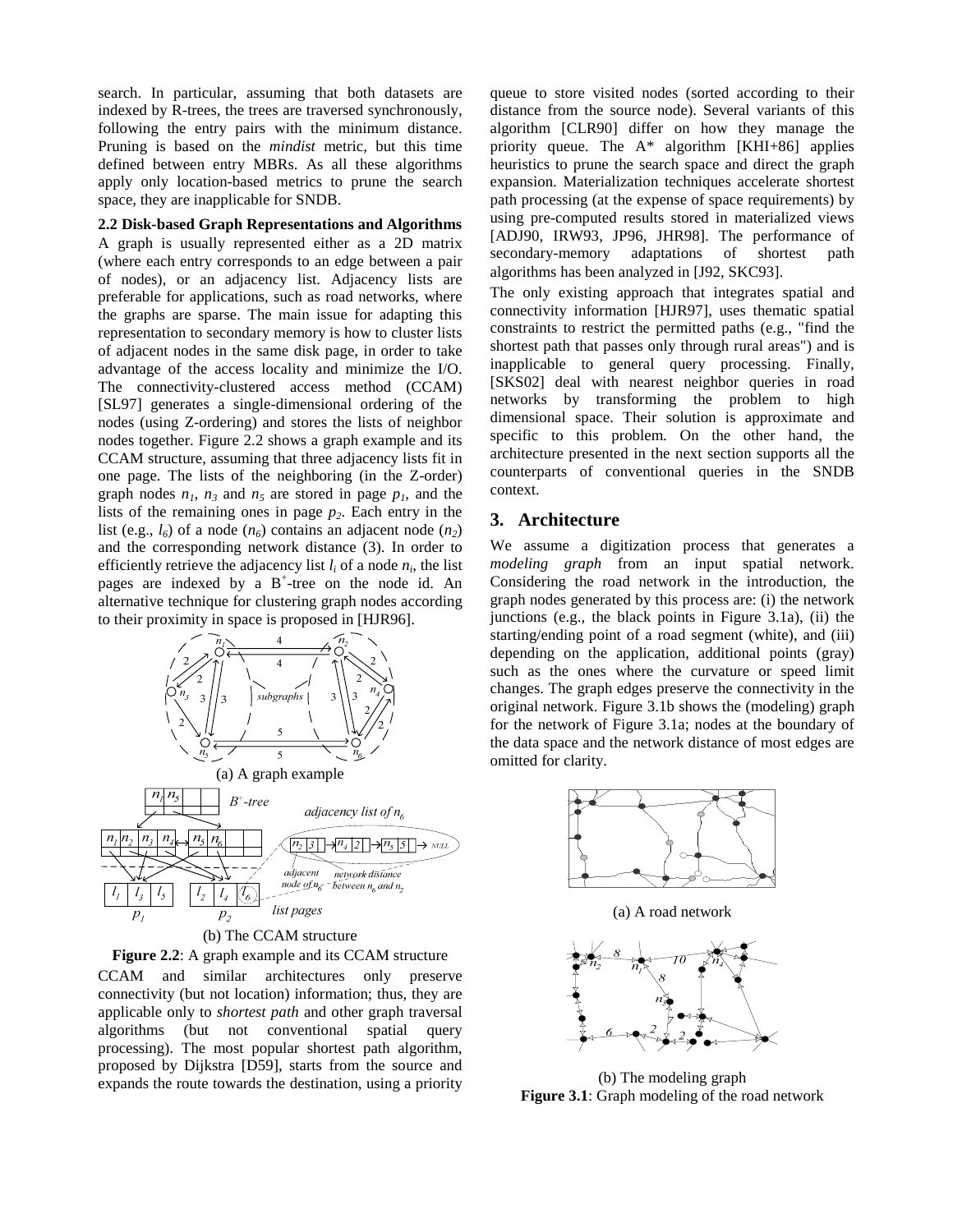search. In particular, assuming that both datasets are indexed by R-trees, the trees are traversed synchronously, following the entry pairs with the minimum distance. Pruning is based on the *mindist* metric, but this time defined between entry MBRs. As all these algorithms apply only location-based metrics to prune the search space, they are inapplicable for SNDB.

#### **2.2 Disk-based Graph Representations and Algorithms**

A graph is usually represented either as a 2D matrix (where each entry corresponds to an edge between a pair of nodes), or an adjacency list. Adjacency lists are preferable for applications, such as road networks, where the graphs are sparse. The main issue for adapting this representation to secondary memory is how to cluster lists of adjacent nodes in the same disk page, in order to take advantage of the access locality and minimize the I/O. The connectivity-clustered access method (CCAM) [SL97] generates a single-dimensional ordering of the nodes (using Z-ordering) and stores the lists of neighbor nodes together. Figure 2.2 shows a graph example and its CCAM structure, assuming that three adjacency lists fit in one page. The lists of the neighboring (in the Z-order) graph nodes  $n_1$ ,  $n_3$  and  $n_5$  are stored in page  $p_1$ , and the lists of the remaining ones in page  $p_2$ . Each entry in the list (e.g.,  $l_6$ ) of a node ( $n_6$ ) contains an adjacent node ( $n_2$ ) and the corresponding network distance (3). In order to efficiently retrieve the adjacency list  $l_i$  of a node  $n_i$ , the list pages are indexed by a  $B^+$ -tree on the node id. An alternative technique for clustering graph nodes according to their proximity in space is proposed in [HJR96].





CCAM and similar architectures only preserve connectivity (but not location) information; thus, they are applicable only to *shortest path* and other graph traversal algorithms (but not conventional spatial query processing). The most popular shortest path algorithm, proposed by Dijkstra [D59], starts from the source and expands the route towards the destination, using a priority

queue to store visited nodes (sorted according to their distance from the source node). Several variants of this algorithm [CLR90] differ on how they manage the priority queue. The A\* algorithm [KHI+86] applies heuristics to prune the search space and direct the graph expansion. Materialization techniques accelerate shortest path processing (at the expense of space requirements) by using pre-computed results stored in materialized views [ADJ90, IRW93, JP96, JHR98]. The performance of secondary-memory adaptations of shortest path algorithms has been analyzed in [J92, SKC93].

The only existing approach that integrates spatial and connectivity information [HJR97], uses thematic spatial constraints to restrict the permitted paths (e.g., "find the shortest path that passes only through rural areas") and is inapplicable to general query processing. Finally, [SKS02] deal with nearest neighbor queries in road networks by transforming the problem to high dimensional space. Their solution is approximate and specific to this problem. On the other hand, the architecture presented in the next section supports all the counterparts of conventional queries in the SNDB context.

## **3. Architecture**

We assume a digitization process that generates a *modeling graph* from an input spatial network. Considering the road network in the introduction, the graph nodes generated by this process are: (i) the network junctions (e.g., the black points in Figure 3.1a), (ii) the starting/ending point of a road segment (white), and (iii) depending on the application, additional points (gray) such as the ones where the curvature or speed limit changes. The graph edges preserve the connectivity in the original network. Figure 3.1b shows the (modeling) graph for the network of Figure 3.1a; nodes at the boundary of the data space and the network distance of most edges are omitted for clarity.



(a) A road network



(b) The modeling graph **Figure 3.1**: Graph modeling of the road network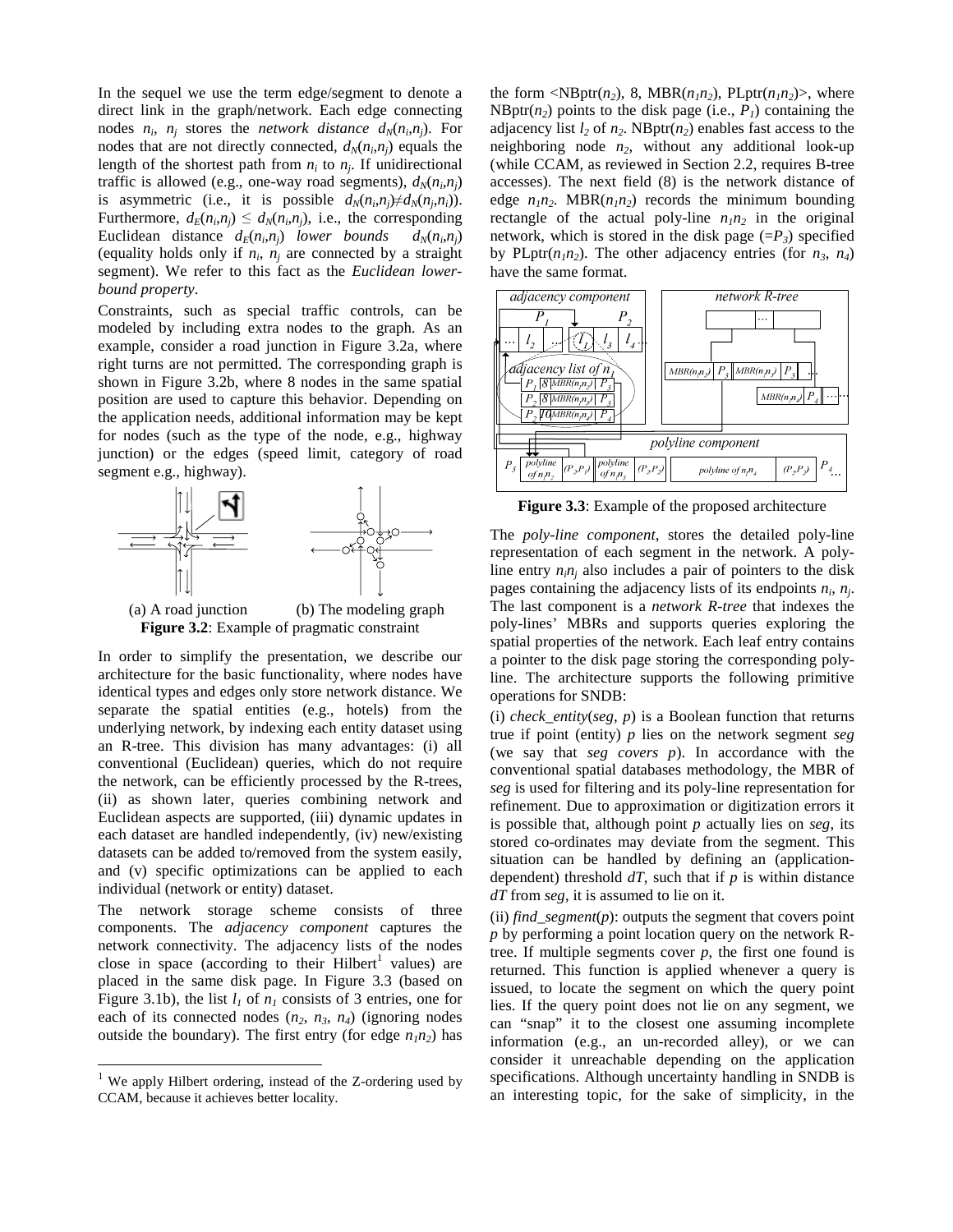In the sequel we use the term edge/segment to denote a direct link in the graph/network. Each edge connecting nodes  $n_i$ ,  $n_j$  stores the *network distance*  $d_N(n_i, n_j)$ . For nodes that are not directly connected,  $d_N(n_i,n_i)$  equals the length of the shortest path from  $n_i$  to  $n_j$ . If unidirectional traffic is allowed (e.g., one-way road segments),  $d_N(n_i, n_i)$ is asymmetric (i.e., it is possible  $d_N(n_i,n_i) \neq d_N(n_i,n_i)$ ). Furthermore,  $d_E(n_i, n_j) \leq d_N(n_i, n_j)$ , i.e., the corresponding Euclidean distance  $d_E(n_i, n_j)$  lower bounds  $d_N(n_i, n_j)$ Euclidean distance  $d_E(n_i, n_j)$  *lower bounds* (equality holds only if  $n_i$ ,  $n_j$  are connected by a straight segment). We refer to this fact as the *Euclidean lowerbound property*.

Constraints, such as special traffic controls, can be modeled by including extra nodes to the graph. As an example, consider a road junction in Figure 3.2a, where right turns are not permitted. The corresponding graph is shown in Figure 3.2b, where 8 nodes in the same spatial position are used to capture this behavior. Depending on the application needs, additional information may be kept for nodes (such as the type of the node, e.g., highway junction) or the edges (speed limit, category of road segment e.g., highway).



**Figure 3.2**: Example of pragmatic constraint

In order to simplify the presentation, we describe our architecture for the basic functionality, where nodes have identical types and edges only store network distance. We separate the spatial entities (e.g., hotels) from the underlying network, by indexing each entity dataset using an R-tree. This division has many advantages: (i) all conventional (Euclidean) queries, which do not require the network, can be efficiently processed by the R-trees, (ii) as shown later, queries combining network and Euclidean aspects are supported, (iii) dynamic updates in each dataset are handled independently, (iv) new/existing datasets can be added to/removed from the system easily, and (v) specific optimizations can be applied to each individual (network or entity) dataset.

The network storage scheme consists of three components. The *adjacency component* captures the network connectivity. The adjacency lists of the nodes close in space (according to their  $Hilbert<sup>1</sup>$  values) are placed in the same disk page. In Figure 3.3 (based on Figure 3.1b), the list  $l_1$  of  $n_1$  consists of 3 entries, one for each of its connected nodes  $(n_2, n_3, n_4)$  (ignoring nodes outside the boundary). The first entry (for edge  $n_1n_2$ ) has

 $\overline{a}$ 

the form  $\langle NBptr(n_2), 8, MBR(n_1n_2), PLptr(n_1n_2)\rangle$ , where NBptr( $n_2$ ) points to the disk page (i.e.,  $P_1$ ) containing the adjacency list  $l_2$  of  $n_2$ . NBptr( $n_2$ ) enables fast access to the neighboring node  $n_2$ , without any additional look-up (while CCAM, as reviewed in Section 2.2, requires B-tree accesses). The next field (8) is the network distance of edge  $n_1n_2$ . MBR $(n_1n_2)$  records the minimum bounding rectangle of the actual poly-line  $n_1n_2$  in the original network, which is stored in the disk page  $(=P_3)$  specified by PLptr $(n_1n_2)$ . The other adjacency entries (for  $n_3$ ,  $n_4$ ) have the same format.



**Figure 3.3**: Example of the proposed architecture

The *poly-line component*, stores the detailed poly-line representation of each segment in the network. A polyline entry  $n_i$ <sub>n</sub> also includes a pair of pointers to the disk pages containing the adjacency lists of its endpoints  $n_i$ ,  $n_j$ . The last component is a *network R-tree* that indexes the poly-lines' MBRs and supports queries exploring the spatial properties of the network. Each leaf entry contains a pointer to the disk page storing the corresponding polyline. The architecture supports the following primitive operations for SNDB:

(i) *check\_entity*(*seg*, *p*) is a Boolean function that returns true if point (entity) *p* lies on the network segment *seg* (we say that *seg covers p*). In accordance with the conventional spatial databases methodology, the MBR of *seg* is used for filtering and its poly-line representation for refinement. Due to approximation or digitization errors it is possible that, although point *p* actually lies on *seg*, its stored co-ordinates may deviate from the segment. This situation can be handled by defining an (applicationdependent) threshold *dT*, such that if *p* is within distance *dT* from *seg*, it is assumed to lie on it.

(ii) *find\_segment*(*p*): outputs the segment that covers point *p* by performing a point location query on the network Rtree. If multiple segments cover *p*, the first one found is returned. This function is applied whenever a query is issued, to locate the segment on which the query point lies. If the query point does not lie on any segment, we can "snap" it to the closest one assuming incomplete information (e.g., an un-recorded alley), or we can consider it unreachable depending on the application specifications. Although uncertainty handling in SNDB is an interesting topic, for the sake of simplicity, in the

<sup>&</sup>lt;sup>1</sup> We apply Hilbert ordering, instead of the Z-ordering used by CCAM, because it achieves better locality.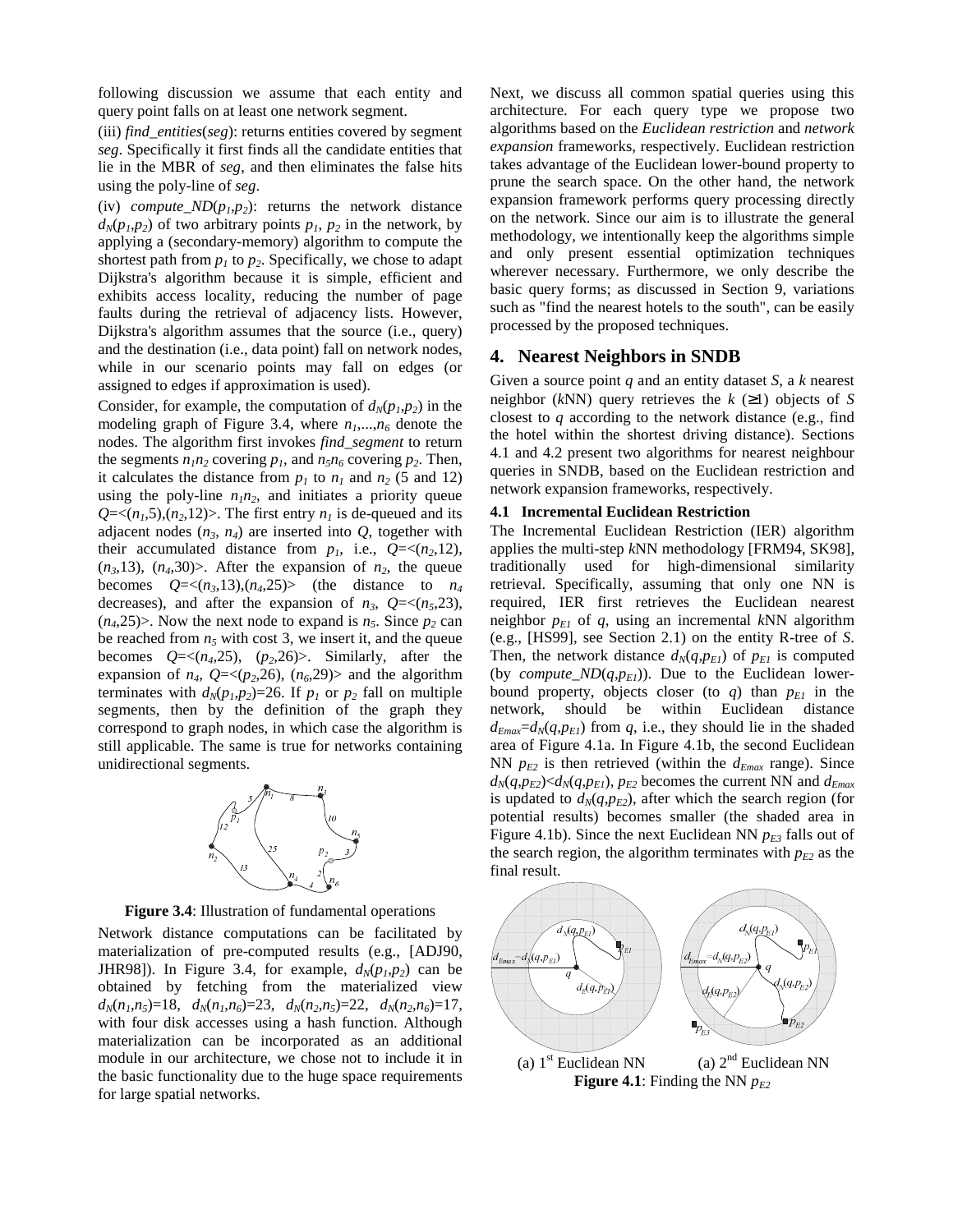following discussion we assume that each entity and query point falls on at least one network segment.

(iii) *find\_entities*(*seg*): returns entities covered by segment *seg*. Specifically it first finds all the candidate entities that lie in the MBR of *seg*, and then eliminates the false hits using the poly-line of *seg*.

(iv) *compute\_ND* $(p_1, p_2)$ : returns the network distance  $d_N(p_1, p_2)$  of two arbitrary points  $p_1, p_2$  in the network, by applying a (secondary-memory) algorithm to compute the shortest path from  $p_1$  to  $p_2$ . Specifically, we chose to adapt Dijkstra's algorithm because it is simple, efficient and exhibits access locality, reducing the number of page faults during the retrieval of adjacency lists. However, Dijkstra's algorithm assumes that the source (i.e., query) and the destination (i.e., data point) fall on network nodes, while in our scenario points may fall on edges (or assigned to edges if approximation is used).

Consider, for example, the computation of  $d_N(p_1, p_2)$  in the modeling graph of Figure 3.4, where  $n_1$ ,..., $n_6$  denote the nodes. The algorithm first invokes *find\_segment* to return the segments  $n_1n_2$  covering  $p_1$ , and  $n_5n_6$  covering  $p_2$ . Then, it calculates the distance from  $p_1$  to  $n_1$  and  $n_2$  (5 and 12) using the poly-line  $n_1n_2$ , and initiates a priority queue  $Q = \langle (n_1, 5), (n_2, 12) \rangle$ . The first entry  $n_1$  is de-queued and its adjacent nodes  $(n_3, n_4)$  are inserted into  $Q$ , together with their accumulated distance from  $p_1$ , i.e.,  $Q = \langle (n_2, 12),$  $(n_3, 13)$ ,  $(n_4, 30)$ . After the expansion of  $n_2$ , the queue becomes  $Q = \langle (n_3, 13), (n_4, 25) \rangle$  (the distance to  $n_4$ decreases), and after the expansion of  $n_3$ ,  $Q = \langle (n_5, 23),$  $(n_4,25)$ . Now the next node to expand is  $n_5$ . Since  $p_2$  can be reached from  $n_5$  with cost 3, we insert it, and the queue becomes  $Q = \langle (n_4, 25), (p_2, 26) \rangle$ . Similarly, after the expansion of  $n_4$ ,  $Q = \langle (p_2, 26), (n_6, 29) \rangle$  and the algorithm terminates with  $d_N(p_1, p_2) = 26$ . If  $p_1$  or  $p_2$  fall on multiple segments, then by the definition of the graph they correspond to graph nodes, in which case the algorithm is still applicable. The same is true for networks containing unidirectional segments.



**Figure 3.4**: Illustration of fundamental operations

Network distance computations can be facilitated by materialization of pre-computed results (e.g., [ADJ90, JHR98]). In Figure 3.4, for example,  $d_N(p_1, p_2)$  can be obtained by fetching from the materialized view  $d_N(n_1, n_5) = 18$ ,  $d_N(n_1, n_6) = 23$ ,  $d_N(n_2, n_5) = 22$ ,  $d_N(n_2, n_6) = 17$ , with four disk accesses using a hash function. Although materialization can be incorporated as an additional module in our architecture, we chose not to include it in the basic functionality due to the huge space requirements for large spatial networks.

Next, we discuss all common spatial queries using this architecture. For each query type we propose two algorithms based on the *Euclidean restriction* and *network expansion* frameworks, respectively. Euclidean restriction takes advantage of the Euclidean lower-bound property to prune the search space. On the other hand, the network expansion framework performs query processing directly on the network. Since our aim is to illustrate the general methodology, we intentionally keep the algorithms simple and only present essential optimization techniques wherever necessary. Furthermore, we only describe the basic query forms; as discussed in Section 9, variations such as "find the nearest hotels to the south", can be easily processed by the proposed techniques.

## **4. Nearest Neighbors in SNDB**

Given a source point *q* and an entity dataset *S*, a *k* nearest neighbor ( $kNN$ ) query retrieves the  $k$  ( $\geq$ 1) objects of *S* closest to *q* according to the network distance (e.g., find the hotel within the shortest driving distance). Sections 4.1 and 4.2 present two algorithms for nearest neighbour queries in SNDB, based on the Euclidean restriction and network expansion frameworks, respectively.

#### **4.1 Incremental Euclidean Restriction**

The Incremental Euclidean Restriction (IER) algorithm applies the multi-step *k*NN methodology [FRM94, SK98], traditionally used for high-dimensional similarity retrieval. Specifically, assuming that only one NN is required, IER first retrieves the Euclidean nearest neighbor  $p_{EI}$  of  $q$ , using an incremental  $kNN$  algorithm (e.g., [HS99], see Section 2.1) on the entity R-tree of *S*. Then, the network distance  $d_N(q, p_{EI})$  of  $p_{EI}$  is computed (by *compute\_ND* $(q, p<sub>El</sub>)$ ). Due to the Euclidean lowerbound property, objects closer (to  $q$ ) than  $p_{E1}$  in the network, should be within Euclidean distance  $d_{Emax} = d_N(q, p_E)$  from *q*, i.e., they should lie in the shaded area of Figure 4.1a. In Figure 4.1b, the second Euclidean NN  $p_{E2}$  is then retrieved (within the  $d_{Emax}$  range). Since  $d_N(q, p_{E2}) \le d_N(q, p_{E1}), p_{E2}$  becomes the current NN and  $d_{Emax}$ is updated to  $d_N(q, p_{E2})$ , after which the search region (for potential results) becomes smaller (the shaded area in Figure 4.1b). Since the next Euclidean NN  $p_{E3}$  falls out of the search region, the algorithm terminates with  $p_{E2}$  as the final result.

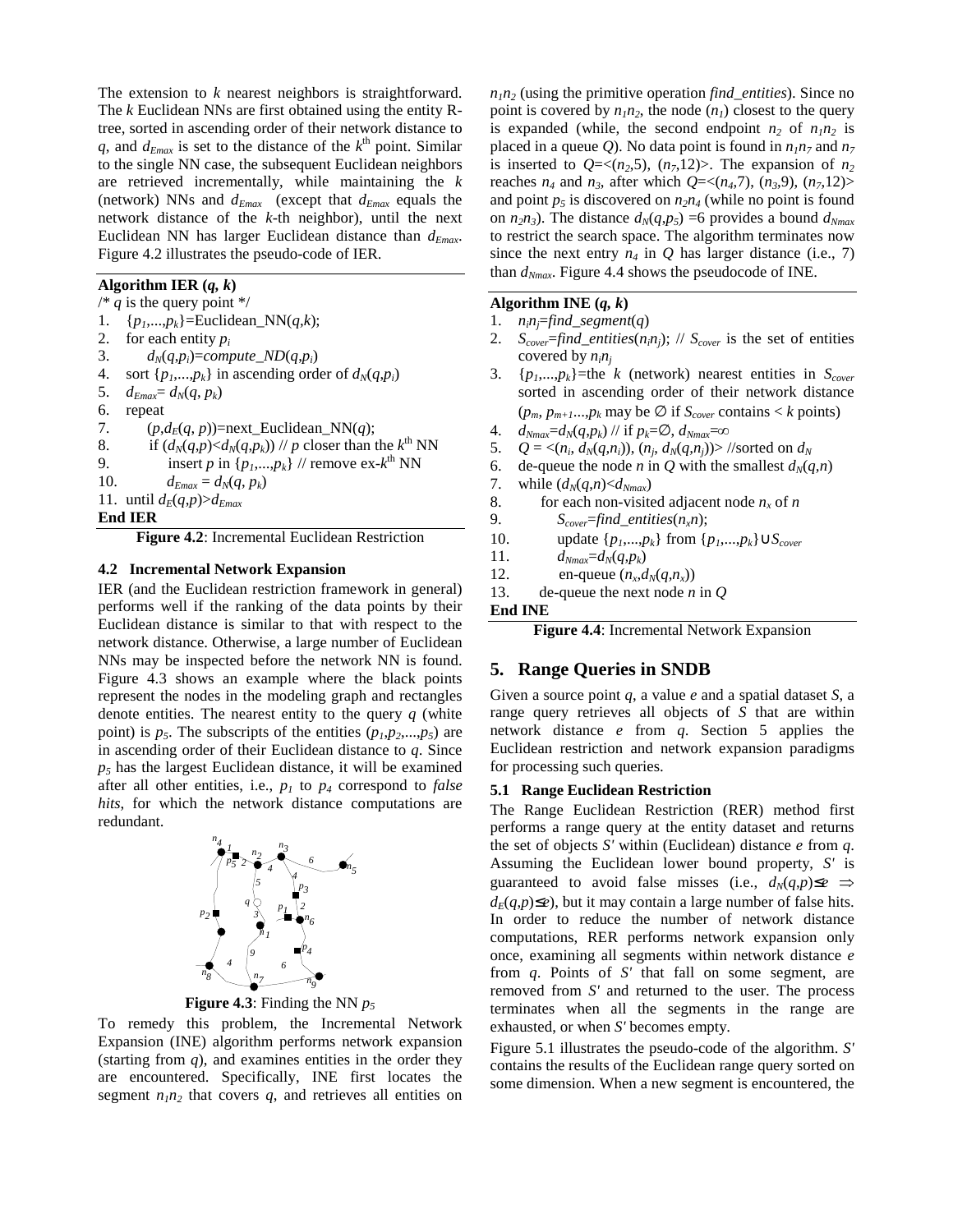The extension to *k* nearest neighbors is straightforward. The *k* Euclidean NNs are first obtained using the entity Rtree, sorted in ascending order of their network distance to  $q$ , and  $d_{Emax}$  is set to the distance of the  $k^{\text{th}}$  point. Similar to the single NN case, the subsequent Euclidean neighbors are retrieved incrementally, while maintaining the *k* (network) NNs and  $d_{Emax}$  (except that  $d_{Emax}$  equals the network distance of the *k*-th neighbor), until the next Euclidean NN has larger Euclidean distance than  $d_{Emax}$ . Figure 4.2 illustrates the pseudo-code of IER.

## **Algorithm IER (***q, k***)**

 $\frac{1}{4}$  *a* is the query point  $\frac{1}{4}$ 1.  $\{p_1,...,p_k\}$ =Euclidean\_NN(*q,k*);<br>2. for each entity  $p_i$ for each entity  $p_i$ 3.  $d_N(q, p_i) = compute_N(D(q, p_i))$ 4. sort  $\{p_1,...,p_k\}$  in ascending order of  $d_N(q, p_i)$ <br>5.  $d_{Emax} = d_N(q, p_k)$  $d_{Emax} = d_N(q, p_k)$ 6. repeat 7.  $(p,d_E(q, p)) = \text{next\_Euclidean\_NN}(q);$ <br>8. if  $(d_N(q, p) < d_N(q, p_k))$  // p closer than t 8. if  $(d_N(q, p) < d_N(q, p_k))$  // *p* closer than the *k*<sup>th</sup> NN 9. insert *p* in  $\{p_1,...,p_k\}$  // remove ex- $k^{\text{th}}$  NN 10.  $d_{Emax} = d_N(q, p_k)$ 11. until  $d_E(q, p) > d_{Emax}$ **End IER** 

**Figure 4.2**: Incremental Euclidean Restriction

## **4.2 Incremental Network Expansion**

IER (and the Euclidean restriction framework in general) performs well if the ranking of the data points by their Euclidean distance is similar to that with respect to the network distance. Otherwise, a large number of Euclidean NNs may be inspected before the network NN is found. Figure 4.3 shows an example where the black points represent the nodes in the modeling graph and rectangles denote entities. The nearest entity to the query *q* (white point) is  $p_5$ . The subscripts of the entities  $(p_1, p_2, \ldots, p_5)$  are in ascending order of their Euclidean distance to *q*. Since  $p<sub>5</sub>$  has the largest Euclidean distance, it will be examined after all other entities, i.e.,  $p_1$  to  $p_4$  correspond to *false hits*, for which the network distance computations are redundant.



**Figure 4.3**: Finding the NN  $p_5$ 

To remedy this problem, the Incremental Network Expansion (INE) algorithm performs network expansion (starting from  $q$ ), and examines entities in the order they are encountered. Specifically, INE first locates the segment  $n_1n_2$  that covers  $q$ , and retrieves all entities on  $n_1n_2$  (using the primitive operation *find\_entities*). Since no point is covered by  $n_1n_2$ , the node  $(n_1)$  closest to the query is expanded (while, the second endpoint  $n_2$  of  $n_1n_2$  is placed in a queue *Q*). No data point is found in  $n_1n_7$  and  $n_7$ is inserted to  $Q = \langle (n_2, 5), (n_7, 12) \rangle$ . The expansion of  $n_2$ reaches  $n_4$  and  $n_3$ , after which  $Q = \langle (n_4, 7), (n_3, 9), (n_7, 12) \rangle$ and point  $p_5$  is discovered on  $n_2n_4$  (while no point is found on  $n_2n_3$ ). The distance  $d_N(q, p_5) = 6$  provides a bound  $d_{Nmax}$ to restrict the search space. The algorithm terminates now since the next entry  $n_4$  in  $Q$  has larger distance (i.e., 7) than  $d_{Nmax}$ . Figure 4.4 shows the pseudocode of INE.

## **Algorithm INE (***q, k***)**

- 1.  $n_i n_j = \text{find\_segment}(q)$
- 2. *S<sub>cover</sub>*=find\_entities( $n_i n_j$ ); //  $S_{cover}$  is the set of entities covered by *ninj*
- 3.  $\{p_1,...,p_k\}$ =the *k* (network) nearest entities in  $S_{cover}$ sorted in ascending order of their network distance  $(p_m, p_{m+1}...p_k \text{ may be } \emptyset \text{ if } S_{cover} \text{ contains } *k* \text{ points})$
- 4.  $d_{Nmax}=d_N(q,p_k)$  // if  $p_k = \emptyset$ ,  $d_{Nmax} = \infty$ <br>5.  $Q = \langle (n_i, d_N(q, n_i)) \rangle$ ,  $(n_i, d_N(q, n_i))$
- $Q = \langle (n_i, d_N(q, n_i)), (n_i, d_N(q, n_i)) \rangle$  //sorted on  $d_N$
- 6. de-queue the node *n* in *Q* with the smallest  $d_N(q, n)$
- 7. while  $(d_N(q, n) < d_{Nmax})$ <br>8. for each non-visite
- for each non-visited adjacent node  $n_x$  of *n*
- 9.  $S_{cover} = \frac{find\_entities(n_x n)}{;}$
- 10. update  $\{p_1, ..., p_k\}$  from  $\{p_1, ..., p_k\} \cup S_{cover}$
- 11.  $d_{Nmax}=d_N(q,p_k)$
- 12. en-queue  $(n_x, d_N(q, n_x))$
- 13. de-queue the next node *n* in *Q*

#### **End INE**

**Figure 4.4**: Incremental Network Expansion

# **5. Range Queries in SNDB**

Given a source point *q*, a value *e* and a spatial dataset *S*, a range query retrieves all objects of *S* that are within network distance *e* from *q*. Section 5 applies the Euclidean restriction and network expansion paradigms for processing such queries.

#### **5.1 Range Euclidean Restriction**

The Range Euclidean Restriction (RER) method first performs a range query at the entity dataset and returns the set of objects *S'* within (Euclidean) distance *e* from *q*. Assuming the Euclidean lower bound property, *S'* is guaranteed to avoid false misses (i.e.,  $d_N(q,p) \leq e \implies$  $d_F(q, p) \leq e$ , but it may contain a large number of false hits. In order to reduce the number of network distance computations, RER performs network expansion only once, examining all segments within network distance *e* from *q*. Points of *S'* that fall on some segment, are removed from *S'* and returned to the user. The process terminates when all the segments in the range are exhausted, or when *S'* becomes empty.

Figure 5.1 illustrates the pseudo-code of the algorithm. *S'* contains the results of the Euclidean range query sorted on some dimension. When a new segment is encountered, the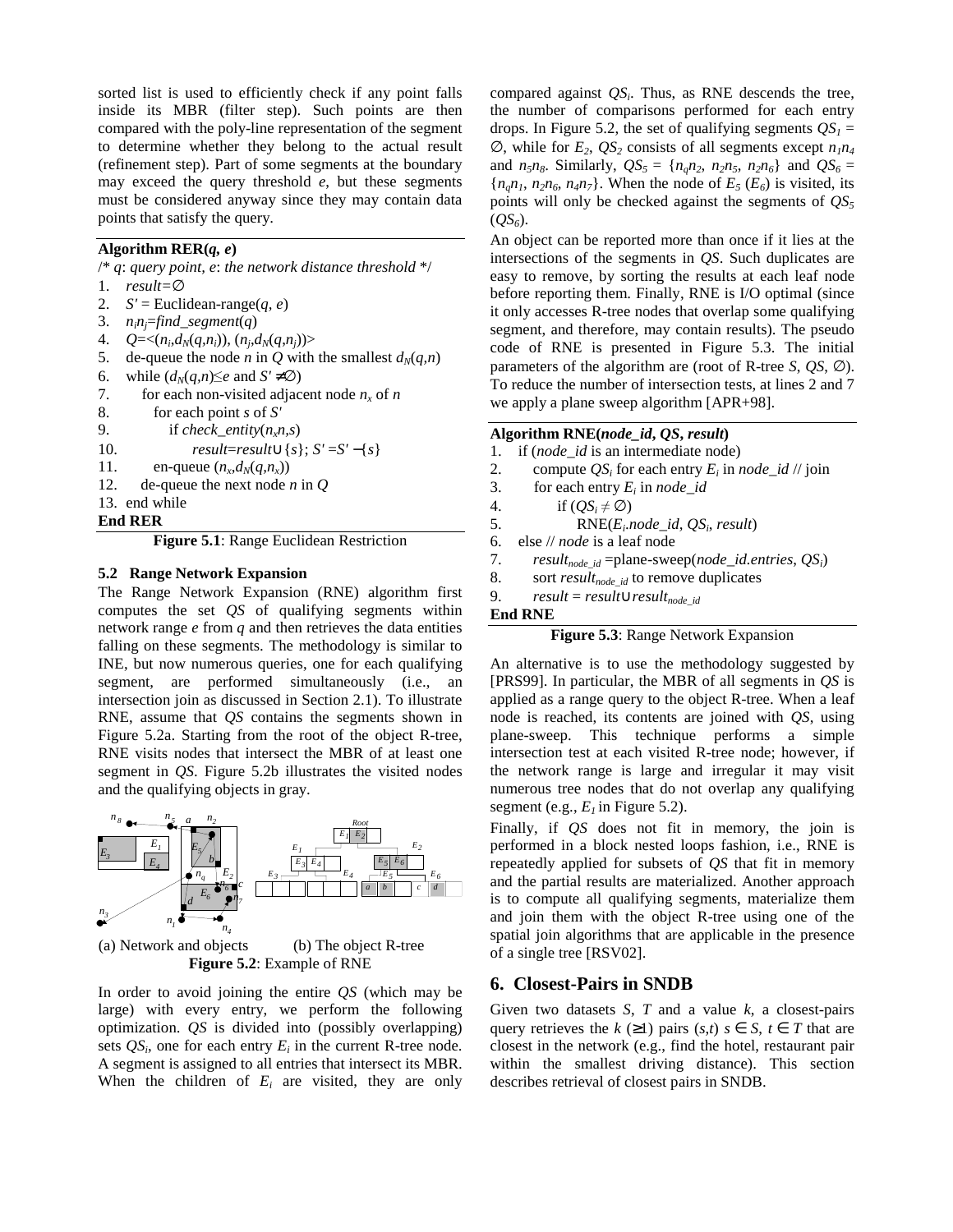sorted list is used to efficiently check if any point falls inside its MBR (filter step). Such points are then compared with the poly-line representation of the segment to determine whether they belong to the actual result (refinement step). Part of some segments at the boundary may exceed the query threshold *e*, but these segments must be considered anyway since they may contain data points that satisfy the query.

## **Algorithm RER(***q, e***)**

/\* *q*: *query point, e*: *the network distance threshold* \*/

- 1. *result=*∅
- 2.  $S' =$  Euclidean-range(*q, e*)
- 3.  $n_i n_j = \text{find\_segment}(q)$
- 4.  $Q = \langle (n_i, d_N(q, n_i)), (n_i, d_N(q, n_i)) \rangle$
- 5. de-queue the node *n* in *Q* with the smallest  $d_N(q, n)$
- 6. while  $(d_N(q, n) \leq e$  and  $S' \neq \emptyset$ )<br>7. for each non-visited adjac
- for each non-visited adjacent node  $n_x$  of *n*
- 8.for each point *s* of *S'*
- 9. if *check* entity $(n,n,s)$
- 10. *result*=*result*∪{*s*}; *S'* =*S'* −{*s*}
- 11. en-queue  $(n_x,d_y(q,n_x))$
- 12. de-queue the next node *n* in *Q*
- 13. end while
- **End RER**

**Figure 5.1**: Range Euclidean Restriction

## **5.2 Range Network Expansion**

The Range Network Expansion (RNE) algorithm first computes the set *QS* of qualifying segments within network range *e* from *q* and then retrieves the data entities falling on these segments. The methodology is similar to INE, but now numerous queries, one for each qualifying segment, are performed simultaneously (i.e., an intersection join as discussed in Section 2.1). To illustrate RNE, assume that *QS* contains the segments shown in Figure 5.2a. Starting from the root of the object R-tree, RNE visits nodes that intersect the MBR of at least one segment in *QS*. Figure 5.2b illustrates the visited nodes and the qualifying objects in gray.



(a) Network and objects (b) The object R-tree **Figure 5.2**: Example of RNE

In order to avoid joining the entire *QS* (which may be large) with every entry, we perform the following optimization. *QS* is divided into (possibly overlapping) sets  $QS_i$ , one for each entry  $E_i$  in the current R-tree node. A segment is assigned to all entries that intersect its MBR. When the children of  $E_i$  are visited, they are only compared against *QSi*. Thus, as RNE descends the tree, the number of comparisons performed for each entry drops. In Figure 5.2, the set of qualifying segments  $QS<sub>1</sub> =$  $\varnothing$ , while for  $E_2$ ,  $\varnothing S_2$  consists of all segments except  $n_1n_4$ and  $n_5n_8$ . Similarly,  $QS_5 = \{n_0n_2, n_2n_5, n_2n_6\}$  and  $QS_6 =$  ${n_a n_1, n_2 n_6, n_4 n_7}$ . When the node of  $E_5(E_6)$  is visited, its points will only be checked against the segments of  $\ddot{OS}_5$  $(QS_6)$ .

An object can be reported more than once if it lies at the intersections of the segments in *QS*. Such duplicates are easy to remove, by sorting the results at each leaf node before reporting them. Finally, RNE is I/O optimal (since it only accesses R-tree nodes that overlap some qualifying segment, and therefore, may contain results). The pseudo code of RNE is presented in Figure 5.3. The initial parameters of the algorithm are (root of R-tree *S*, *QS*, ∅). To reduce the number of intersection tests, at lines 2 and 7 we apply a plane sweep algorithm [APR+98].

# **Algorithm RNE(***node\_id***,** *QS***,** *result***)**

- 1. if (*node\_id* is an intermediate node)
- 2. compute  $QS_i$  for each entry  $E_i$  in *node\_id* // join<br>3. for each entry  $E_i$  in *node id*
- for each entry  $E_i$  in *node\_id*
- 4. if  $(QS_i \neq \emptyset)$ <br>5. **RNE** $(E_i.n_i)$ 
	- 5. RNE(*Ei*.*node\_id, QSi*, *result*)
- 6. else // *node* is a leaf node
- 7. *resultnode\_id* =plane-sweep(*node\_id.entries*, *QSi*)
- 8. sort *result<sub>node id*</sub> to remove duplicates

9. *result* = *result*∪*result<sub>node\_id*</sub>

#### **End RNE**

## **Figure 5.3**: Range Network Expansion

An alternative is to use the methodology suggested by [PRS99]. In particular, the MBR of all segments in *QS* is applied as a range query to the object R-tree. When a leaf node is reached, its contents are joined with *QS*, using plane-sweep. This technique performs a simple intersection test at each visited R-tree node; however, if the network range is large and irregular it may visit numerous tree nodes that do not overlap any qualifying segment (e.g.,  $E_l$  in Figure 5.2).

Finally, if *QS* does not fit in memory, the join is performed in a block nested loops fashion, i.e., RNE is repeatedly applied for subsets of *QS* that fit in memory and the partial results are materialized. Another approach is to compute all qualifying segments, materialize them and join them with the object R-tree using one of the spatial join algorithms that are applicable in the presence of a single tree [RSV02].

# **6. Closest-Pairs in SNDB**

Given two datasets *S*, *T* and a value *k*, a closest-pairs query retrieves the  $k$  (≥1) pairs ( $s$ ,*t*)  $s \in S$ ,  $t \in T$  that are closest in the network (e.g., find the hotel, restaurant pair within the smallest driving distance). This section describes retrieval of closest pairs in SNDB.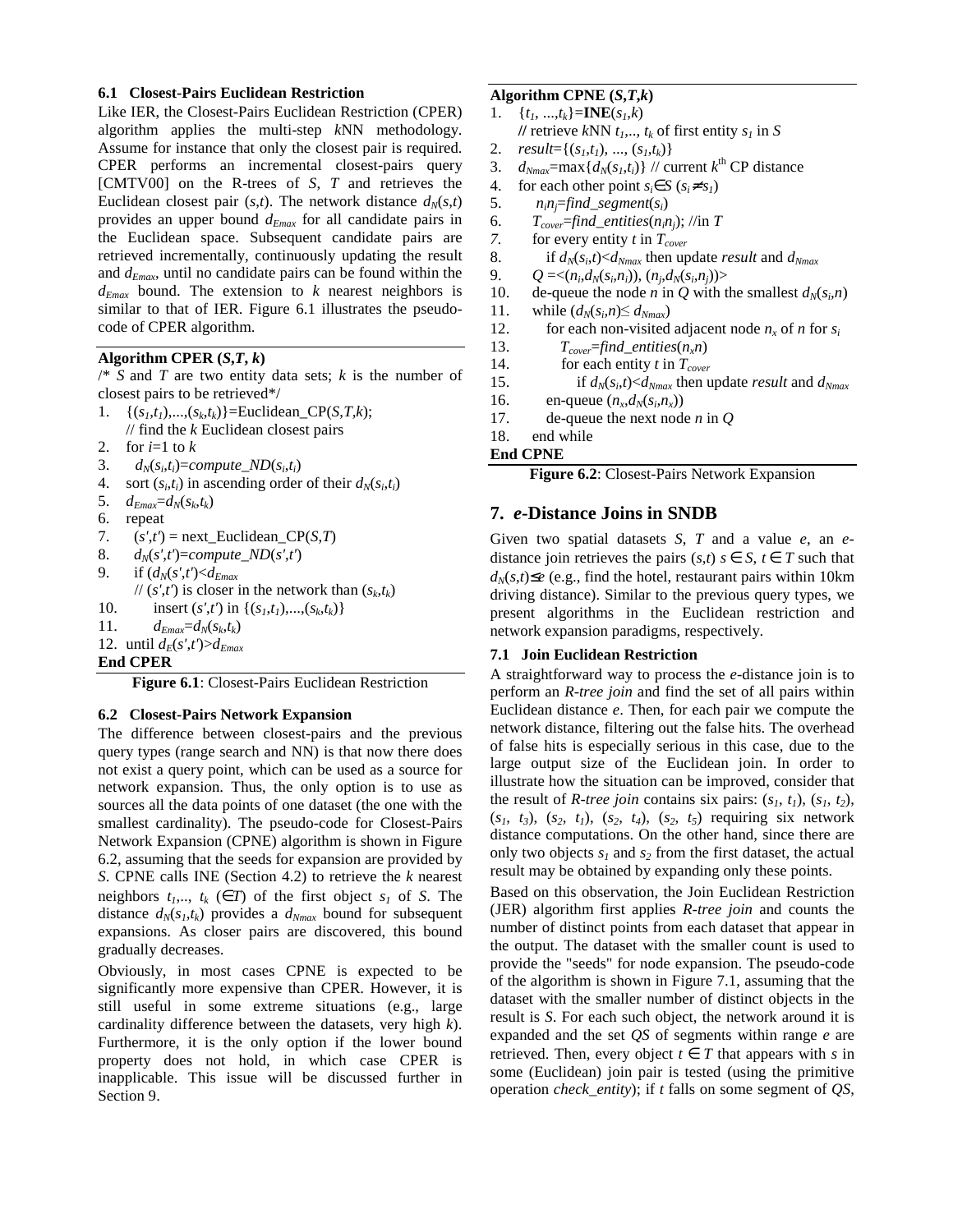## **6.1 Closest-Pairs Euclidean Restriction**

Like IER, the Closest-Pairs Euclidean Restriction (CPER) algorithm applies the multi-step *k*NN methodology. Assume for instance that only the closest pair is required. CPER performs an incremental closest-pairs query [CMTV00] on the R-trees of *S*, *T* and retrieves the Euclidean closest pair  $(s,t)$ . The network distance  $d_N(s,t)$ provides an upper bound  $d_{Emax}$  for all candidate pairs in the Euclidean space. Subsequent candidate pairs are retrieved incrementally, continuously updating the result and  $d_{Emax}$ , until no candidate pairs can be found within the  $d_{Emax}$  bound. The extension to *k* nearest neighbors is similar to that of IER. Figure 6.1 illustrates the pseudocode of CPER algorithm.

## Algorithm CPER  $(S,T,k)$

 $/* S$  and *T* are two entity data sets; *k* is the number of closest pairs to be retrieved\*/

- 1. { $(s_1,t_1),..., (s_k,t_k)$ }=Euclidean\_CP(*S*,*T*,*k*);
- // find the *k* Euclidean closest pairs
- 2. for  $i=1$  to  $k$
- 3.  $d_N(s_i,t_i) = compute_ND(s_i,t_i)$ 4. sort  $(s_i,t_i)$  in ascending order of their  $d_N(s_i,t_i)$
- 5.  $d_{Emax}=d_N(s_k,t_k)$
- 6. repeat
- 7.  $(s',t') = \text{next\_Euclidean\_CP}(S,T)$
- 8.  $d_N(s',t')=compute_ND(s',t')$
- 9. if  $(d_N(s', t') < d_{Emax})$
- //  $(s',t')$  is closer in the network than  $(s_k,t_k)$
- 10. insert  $(s',t')$  in  $\{(s_1,t_1),..., (s_k,t_k)\}\$
- 11.  $d_{Emax}=d_N(s_k,t_k)$
- 12. until  $d_E(s',t') > d_{Emax}$

## **End CPER**

**Figure 6.1**: Closest-Pairs Euclidean Restriction

# **6.2 Closest-Pairs Network Expansion**

The difference between closest-pairs and the previous query types (range search and NN) is that now there does not exist a query point, which can be used as a source for network expansion. Thus, the only option is to use as sources all the data points of one dataset (the one with the smallest cardinality). The pseudo-code for Closest-Pairs Network Expansion (CPNE) algorithm is shown in Figure 6.2, assuming that the seeds for expansion are provided by *S*. CPNE calls INE (Section 4.2) to retrieve the *k* nearest neighbors  $t_1, \ldots, t_k$  (∈*T*) of the first object  $s_1$  of *S*. The distance  $d_N(s_l,t_k)$  provides a  $d_{Nmax}$  bound for subsequent expansions. As closer pairs are discovered, this bound gradually decreases.

Obviously, in most cases CPNE is expected to be significantly more expensive than CPER. However, it is still useful in some extreme situations (e.g., large cardinality difference between the datasets, very high *k*). Furthermore, it is the only option if the lower bound property does not hold, in which case CPER is inapplicable. This issue will be discussed further in Section 9.

# Algorithm CPNE  $(S,T,k)$

- 1.  $\{t_1, ..., t_k\}$ =**INE**( $s_1, k$ )  $\mathcal{U}$  retrieve *kNN*  $t_1, \ldots, t_k$  of first entity  $s_1$  in *S*
- 2.  $result={ (s_1,t_1), ..., (s_1,t_k) }$
- 3.  $d_{Nmax} = \max\{d_N(s_I,t_i)\}$  // current  $k^{\text{th}}$  CP distance
- 4. for each other point  $s_i \in S$  ( $s_i \neq s_j$ )<br>5.  $n_i n_j = \text{find\_segment}(s_i)$
- $n_i n_j = \frac{find\_segment(s_i)}{$
- 6.  $T_{cover} = \frac{find\_entities(n_in_j)}{f}$ ; //in *T*<br>7. for every entity *t* in  $T_{cover}$
- for every entity  $t$  in  $T_{cover}$
- 8. if  $d_N(s_i,t) < d_{Nmax}$  then update *result* and  $d_{Nmax}$
- 9.  $Q = \langle (n_i, d_N(s_i, n_i)), (n_i, d_N(s_i, n_j)) \rangle$
- 10. de-queue the node *n* in *Q* with the smallest  $d_N(s_i, n)$
- 11. while  $(d_N(s_i, n) \le d_{Nmax})$ <br>12. for each non-visited
- 12. for each non-visited adjacent node  $n_x$  of *n* for  $s_i$ <br>13.  $T_{\text{conv}} = \text{find}$  entities  $(n,n)$ 
	- $T_{cover} = find\_entities(n_x n)$
- 14. for each entity  $t \text{ in } T_{cover}$
- 15. if  $d_N(s_i,t) < d_{Nmax}$  then update *result* and  $d_{Nmax}$
- 16. en-queue  $(n_x, d_N(s_i, n_x))$
- 17. de-queue the next node *n* in *Q*
- 18. end while

# **End CPNE**

```
Figure 6.2: Closest-Pairs Network Expansion
```
# **7.** *e***-Distance Joins in SNDB**

Given two spatial datasets *S*, *T* and a value *e*, an *e*distance join retrieves the pairs  $(s,t)$   $s \in S$ ,  $t \in T$  such that  $d_N(s,t) \leq e$  (e.g., find the hotel, restaurant pairs within 10km driving distance). Similar to the previous query types, we present algorithms in the Euclidean restriction and network expansion paradigms, respectively.

# **7.1 Join Euclidean Restriction**

A straightforward way to process the *e*-distance join is to perform an *R-tree join* and find the set of all pairs within Euclidean distance *e*. Then, for each pair we compute the network distance, filtering out the false hits. The overhead of false hits is especially serious in this case, due to the large output size of the Euclidean join. In order to illustrate how the situation can be improved, consider that the result of *R*-tree join contains six pairs:  $(s_1, t_1)$ ,  $(s_1, t_2)$ ,  $(s_1, t_3)$ ,  $(s_2, t_1)$ ,  $(s_2, t_4)$ ,  $(s_2, t_5)$  requiring six network distance computations. On the other hand, since there are only two objects  $s_1$  and  $s_2$  from the first dataset, the actual result may be obtained by expanding only these points.

Based on this observation, the Join Euclidean Restriction (JER) algorithm first applies *R-tree join* and counts the number of distinct points from each dataset that appear in the output. The dataset with the smaller count is used to provide the "seeds" for node expansion. The pseudo-code of the algorithm is shown in Figure 7.1, assuming that the dataset with the smaller number of distinct objects in the result is *S*. For each such object, the network around it is expanded and the set *QS* of segments within range *e* are retrieved. Then, every object  $t \in T$  that appears with *s* in some (Euclidean) join pair is tested (using the primitive operation *check\_entity*); if *t* falls on some segment of *QS*,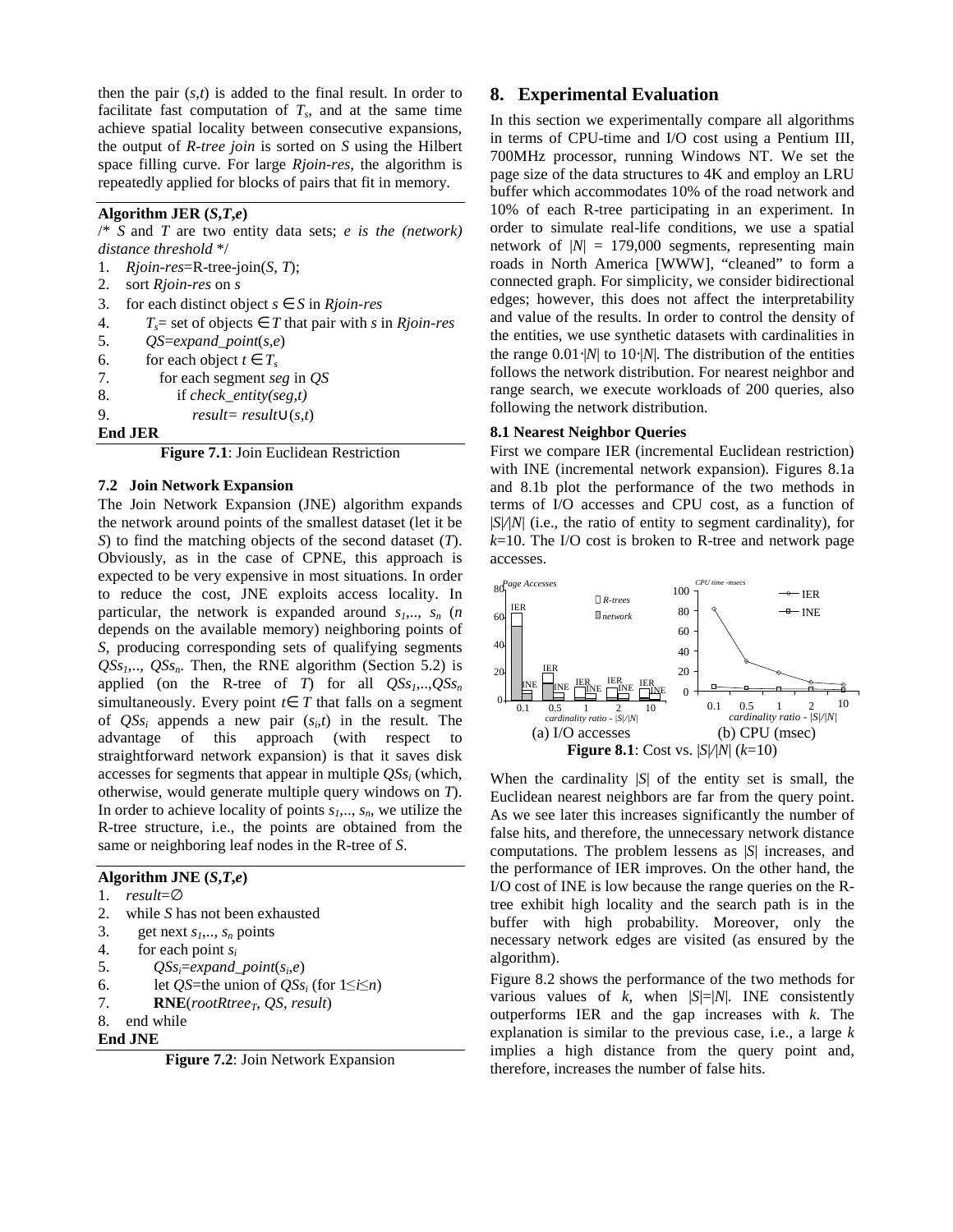then the pair  $(s,t)$  is added to the final result. In order to facilitate fast computation of  $T_s$ , and at the same time achieve spatial locality between consecutive expansions, the output of *R-tree join* is sorted on *S* using the Hilbert space filling curve. For large *Rjoin-res*, the algorithm is repeatedly applied for blocks of pairs that fit in memory.

# Algorithm JER  $(S, T, e)$

/\* *S* and *T* are two entity data sets; *e is the (network) distance threshold* \*/

- 1. *Rjoin-res*=R-tree-join(*S*, *T*);
- 2. sort *Rjoin-res* on *s*
- 3. for each distinct object  $s \in S$  in *Rjoin-res*
- 4.  $T_s$ = set of objects ∈ *T* that pair with *s* in *Rjoin-res*<br>5.  $OS=expand\ point(s, e)$
- 5. *QS*=*expand\_point*(*s,e*)
- 6. for each object  $t \in T_s$
- 7. **for each segment** *seg* **in** *QS*<br>8. **if** *check entity(seg,t)*
- 8. if *check\_entity(seg,t)*
- 9. *result= result*∪(*s*,*t*)

#### **End JER**

**Figure 7.1**: Join Euclidean Restriction

## **7.2 Join Network Expansion**

The Join Network Expansion (JNE) algorithm expands the network around points of the smallest dataset (let it be *S*) to find the matching objects of the second dataset (*T*). Obviously, as in the case of CPNE, this approach is expected to be very expensive in most situations. In order to reduce the cost, JNE exploits access locality. In particular, the network is expanded around  $s_1, \ldots, s_n$  (*n* depends on the available memory) neighboring points of *S*, producing corresponding sets of qualifying segments  $QSS<sub>1</sub>,...$ ,  $QSS<sub>n</sub>$ . Then, the RNE algorithm (Section 5.2) is applied (on the R-tree of *T*) for all  $QSS_1, \ldots, QSS_n$ simultaneously. Every point  $t \in T$  that falls on a segment of *QSsi* appends a new pair (*si*,*t*) in the result. The advantage of this approach (with respect to straightforward network expansion) is that it saves disk accesses for segments that appear in multiple  $QSS_i$  (which, otherwise, would generate multiple query windows on *T*). In order to achieve locality of points  $s_1, \ldots, s_n$ , we utilize the R-tree structure, i.e., the points are obtained from the same or neighboring leaf nodes in the R-tree of *S*.

## Algorithm JNE  $(S,T,e)$

- 1. *result*=∅
- 2. while *S* has not been exhausted
- 3. get next  $s_1, \ldots, s_n$  points
- 4. for each point  $s_i$ <br>5.  $QSS_i=expand$
- $QSs_i = expand\_point(s_i, e)$
- 6. let *QS*=the union of *QSs<sub>i</sub>* (for  $1 \le i \le n$ )<br>7. **RNE**(rootRtree<sub>T</sub>, *OS*, result)
- 7. **RNE**(*rootRtree<sub>T</sub>*, *QS*, *result*) 8. end while
- end while
- **End JNE**

|  |  |  |  | Figure 7.2: Join Network Expansion |
|--|--|--|--|------------------------------------|
|--|--|--|--|------------------------------------|

# **8. Experimental Evaluation**

In this section we experimentally compare all algorithms in terms of CPU-time and I/O cost using a Pentium III, 700MHz processor, running Windows NT. We set the page size of the data structures to 4K and employ an LRU buffer which accommodates 10% of the road network and 10% of each R-tree participating in an experiment. In order to simulate real-life conditions, we use a spatial network of  $|N| = 179,000$  segments, representing main roads in North America [WWW], "cleaned" to form a connected graph. For simplicity, we consider bidirectional edges; however, this does not affect the interpretability and value of the results. In order to control the density of the entities, we use synthetic datasets with cardinalities in the range 0.01⋅|*N*| to 10⋅|*N*|. The distribution of the entities follows the network distribution. For nearest neighbor and range search, we execute workloads of 200 queries, also following the network distribution.

## **8.1 Nearest Neighbor Queries**

First we compare IER (incremental Euclidean restriction) with INE (incremental network expansion). Figures 8.1a and 8.1b plot the performance of the two methods in terms of I/O accesses and CPU cost, as a function of |*S*|*/*|*N*| (i.e., the ratio of entity to segment cardinality), for *k*=10. The I/O cost is broken to R-tree and network page accesses.



When the cardinality  $|S|$  of the entity set is small, the Euclidean nearest neighbors are far from the query point. As we see later this increases significantly the number of false hits, and therefore, the unnecessary network distance computations. The problem lessens as |*S*| increases, and the performance of IER improves. On the other hand, the I/O cost of INE is low because the range queries on the Rtree exhibit high locality and the search path is in the buffer with high probability. Moreover, only the necessary network edges are visited (as ensured by the algorithm).

Figure 8.2 shows the performance of the two methods for various values of *k*, when  $|S|=|N|$ . INE consistently outperforms IER and the gap increases with *k*. The explanation is similar to the previous case, i.e., a large *k* implies a high distance from the query point and, therefore, increases the number of false hits.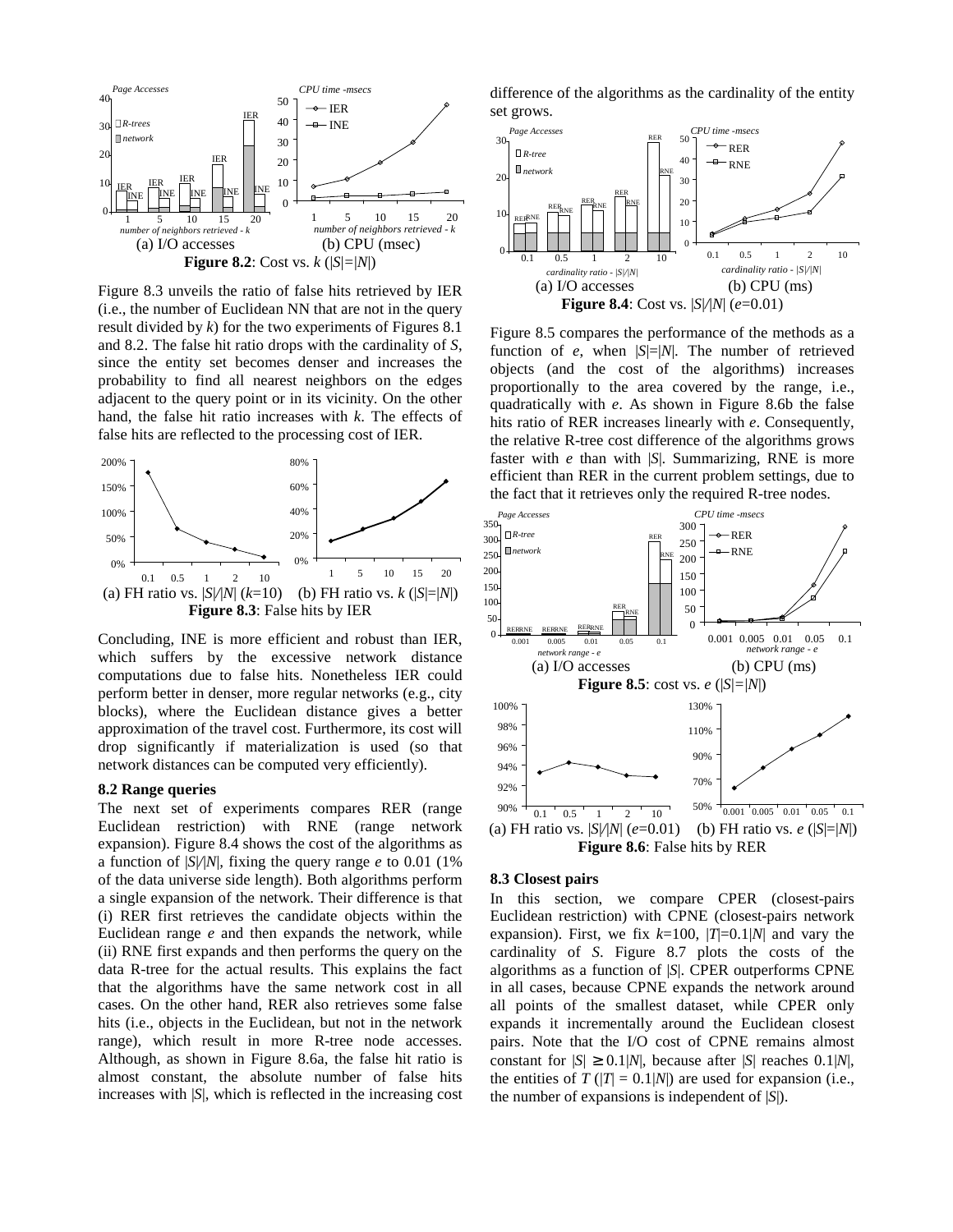

Figure 8.3 unveils the ratio of false hits retrieved by IER (i.e., the number of Euclidean NN that are not in the query result divided by *k*) for the two experiments of Figures 8.1 and 8.2. The false hit ratio drops with the cardinality of *S*, since the entity set becomes denser and increases the probability to find all nearest neighbors on the edges adjacent to the query point or in its vicinity. On the other hand, the false hit ratio increases with *k*. The effects of false hits are reflected to the processing cost of IER.



Concluding, INE is more efficient and robust than IER, which suffers by the excessive network distance computations due to false hits. Nonetheless IER could perform better in denser, more regular networks (e.g., city blocks), where the Euclidean distance gives a better approximation of the travel cost. Furthermore, its cost will drop significantly if materialization is used (so that network distances can be computed very efficiently).

#### **8.2 Range queries**

The next set of experiments compares RER (range Euclidean restriction) with RNE (range network expansion). Figure 8.4 shows the cost of the algorithms as a function of |*S*|*/*|*N*|*,* fixing the query range *e* to 0.01 (1% of the data universe side length). Both algorithms perform a single expansion of the network. Their difference is that (i) RER first retrieves the candidate objects within the Euclidean range *e* and then expands the network, while (ii) RNE first expands and then performs the query on the data R-tree for the actual results. This explains the fact that the algorithms have the same network cost in all cases. On the other hand, RER also retrieves some false hits (i.e., objects in the Euclidean, but not in the network range), which result in more R-tree node accesses. Although, as shown in Figure 8.6a, the false hit ratio is almost constant, the absolute number of false hits increases with |*S*|, which is reflected in the increasing cost

difference of the algorithms as the cardinality of the entity set grows.



Figure 8.5 compares the performance of the methods as a function of *e*, when |*S*|=|*N*|. The number of retrieved objects (and the cost of the algorithms) increases proportionally to the area covered by the range, i.e., quadratically with *e*. As shown in Figure 8.6b the false hits ratio of RER increases linearly with *e*. Consequently, the relative R-tree cost difference of the algorithms grows faster with *e* than with |*S*|. Summarizing, RNE is more efficient than RER in the current problem settings, due to the fact that it retrieves only the required R-tree nodes.



#### **8.3 Closest pairs**

In this section, we compare CPER (closest-pairs Euclidean restriction) with CPNE (closest-pairs network expansion). First, we fix  $k=100$ ,  $|T|=0.1|N|$  and vary the cardinality of *S*. Figure 8.7 plots the costs of the algorithms as a function of |*S*|. CPER outperforms CPNE in all cases, because CPNE expands the network around all points of the smallest dataset, while CPER only expands it incrementally around the Euclidean closest pairs. Note that the I/O cost of CPNE remains almost constant for  $|S| \ge 0.1 |N|$ , because after  $|S|$  reaches 0.1|*N*|, the entities of  $T(|T| = 0.1|N|)$  are used for expansion (i.e., the number of expansions is independent of |*S*|).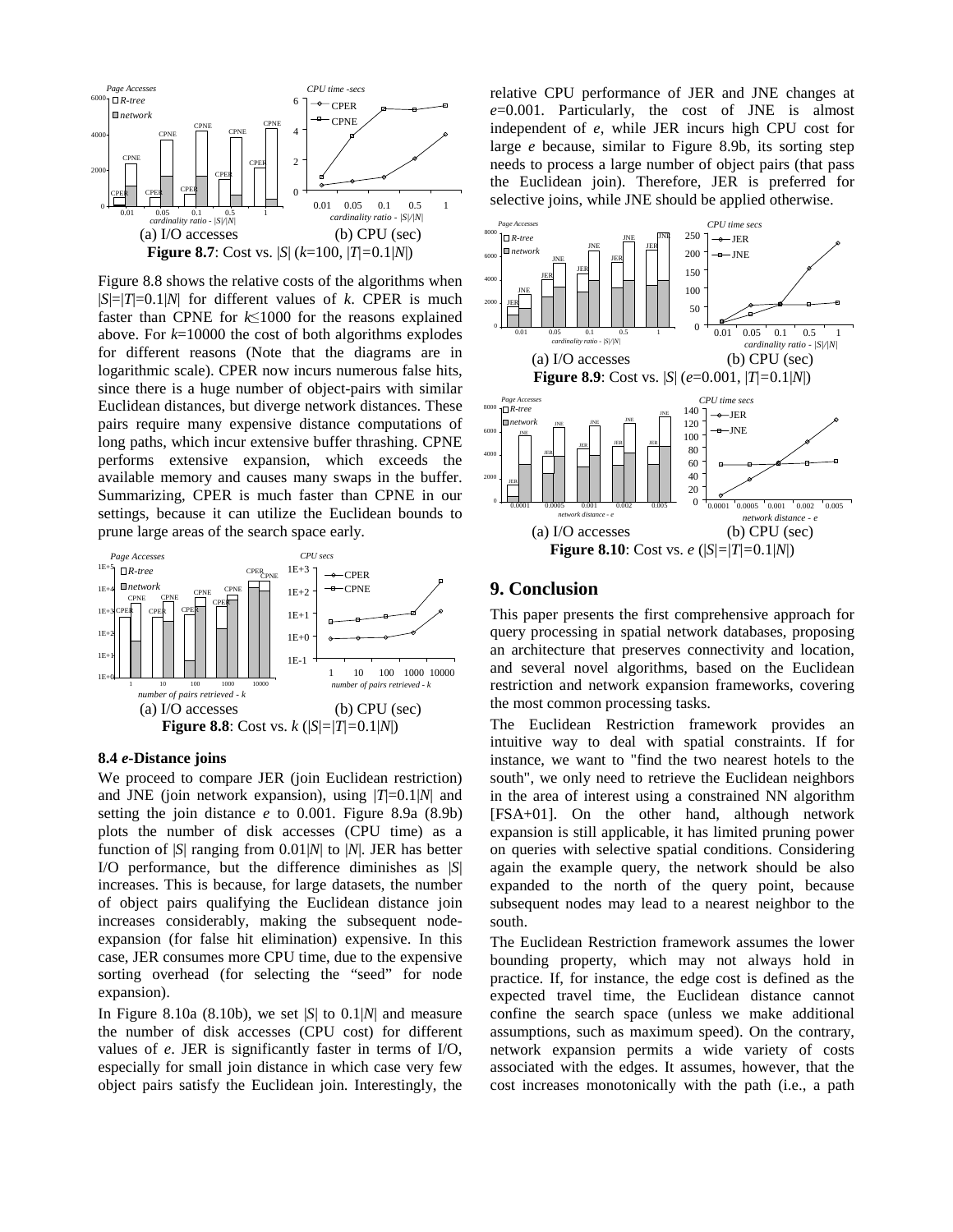

Figure 8.8 shows the relative costs of the algorithms when |*S*|=|*T*|=0.1|*N*| for different values of *k*. CPER is much faster than CPNE for *k*≤1000 for the reasons explained above. For *k*=10000 the cost of both algorithms explodes for different reasons (Note that the diagrams are in logarithmic scale). CPER now incurs numerous false hits, since there is a huge number of object-pairs with similar Euclidean distances, but diverge network distances. These pairs require many expensive distance computations of long paths, which incur extensive buffer thrashing. CPNE performs extensive expansion, which exceeds the available memory and causes many swaps in the buffer. Summarizing, CPER is much faster than CPNE in our settings, because it can utilize the Euclidean bounds to prune large areas of the search space early.



#### **8.4** *e***-Distance joins**

We proceed to compare JER (join Euclidean restriction) and JNE (join network expansion), using |*T*|=0.1|*N*| and setting the join distance *e* to 0.001. Figure 8.9a (8.9b) plots the number of disk accesses (CPU time) as a function of |*S*| ranging from 0.01|*N*| to |*N*|. JER has better I/O performance, but the difference diminishes as |*S*| increases. This is because, for large datasets, the number of object pairs qualifying the Euclidean distance join increases considerably, making the subsequent nodeexpansion (for false hit elimination) expensive. In this case, JER consumes more CPU time, due to the expensive sorting overhead (for selecting the "seed" for node expansion).

In Figure 8.10a (8.10b), we set |*S*| to 0.1|*N*| and measure the number of disk accesses (CPU cost) for different values of *e*. JER is significantly faster in terms of I/O, especially for small join distance in which case very few object pairs satisfy the Euclidean join. Interestingly, the relative CPU performance of JER and JNE changes at *e*=0.001. Particularly, the cost of JNE is almost independent of *e*, while JER incurs high CPU cost for large *e* because, similar to Figure 8.9b, its sorting step needs to process a large number of object pairs (that pass the Euclidean join). Therefore, JER is preferred for selective joins, while JNE should be applied otherwise.



# **9. Conclusion**

This paper presents the first comprehensive approach for query processing in spatial network databases, proposing an architecture that preserves connectivity and location, and several novel algorithms, based on the Euclidean restriction and network expansion frameworks, covering the most common processing tasks.

The Euclidean Restriction framework provides an intuitive way to deal with spatial constraints. If for instance, we want to "find the two nearest hotels to the south", we only need to retrieve the Euclidean neighbors in the area of interest using a constrained NN algorithm [FSA+01]. On the other hand, although network expansion is still applicable, it has limited pruning power on queries with selective spatial conditions. Considering again the example query, the network should be also expanded to the north of the query point, because subsequent nodes may lead to a nearest neighbor to the south.

The Euclidean Restriction framework assumes the lower bounding property, which may not always hold in practice. If, for instance, the edge cost is defined as the expected travel time, the Euclidean distance cannot confine the search space (unless we make additional assumptions, such as maximum speed). On the contrary, network expansion permits a wide variety of costs associated with the edges. It assumes, however, that the cost increases monotonically with the path (i.e., a path